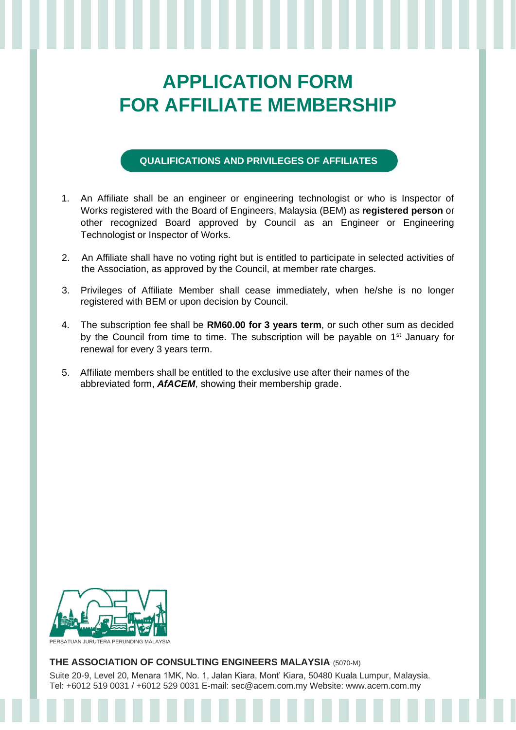## **APPLICATION FORM FOR AFFILIATE MEMBERSHIP**

## **QUALIFICATIONS AND PRIVILEGES OF AFFILIATES**

- 1. An Affiliate shall be an engineer or engineering technologist or who is Inspector of Works registered with the Board of Engineers, Malaysia (BEM) as **registered person** or other recognized Board approved by Council as an Engineer or Engineering Technologist or Inspector of Works.
- 2. An Affiliate shall have no voting right but is entitled to participate in selected activities of the Association, as approved by the Council, at member rate charges.
- 3. Privileges of Affiliate Member shall cease immediately, when he/she is no longer registered with BEM or upon decision by Council.
- 4. The subscription fee shall be **RM60.00 for 3 years term**, or such other sum as decided by the Council from time to time. The subscription will be payable on 1<sup>st</sup> January for renewal for every 3 years term.
- 5. Affiliate members shall be entitled to the exclusive use after their names of the abbreviated form, *AfACEM*, showing their membership grade.



## **THE ASSOCIATION OF CONSULTING ENGINEERS MALAYSIA** (5070-M)

Suite 20-9, Level 20, Menara 1MK, No. 1, Jalan Kiara, Mont' Kiara, 50480 Kuala Lumpur, Malaysia. Tel: +6012 519 0031 / +6012 529 0031 E-mail: sec@acem.com.my Website: www.acem.com.my